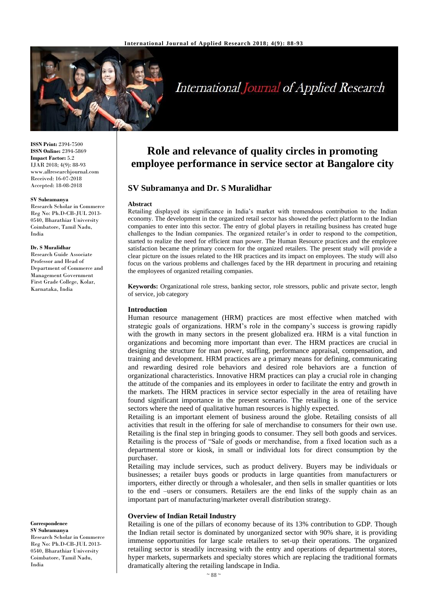

# **International Journal of Applied Research**

**ISSN Print:** 2394-7500 **ISSN Online:** 2394-5869 **Impact Factor:** 5.2 IJAR 2018; 4(9): 88-93 www.allresearchjournal.com Received: 16-07-2018 Accepted: 18-08-2018

#### **SV Subramanya**

Research Scholar in Commerce Reg No: Ph.D-CB-JUL 2013- 0540, Bharathiar University Coimbatore, Tamil Nadu, India

#### **Dr. S Muralidhar**

Research Guide Associate Professor and Head of Department of Commerce and Management Government First Grade College, Kolar, Karnataka, India

**Correspondence**

**SV Subramanya** Research Scholar in Commerce Reg No: Ph.D-CB-JUL 2013- 0540, Bharathiar University Coimbatore, Tamil Nadu, India

## **Role and relevance of quality circles in promoting employee performance in service sector at Bangalore city**

## **SV Subramanya and Dr. S Muralidhar**

#### **Abstract**

Retailing displayed its significance in India's market with tremendous contribution to the Indian economy. The development in the organized retail sector has showed the perfect platform to the Indian companies to enter into this sector. The entry of global players in retailing business has created huge challenges to the Indian companies. The organized retailer's in order to respond to the competition, started to realize the need for efficient man power. The Human Resource practices and the employee satisfaction became the primary concern for the organized retailers. The present study will provide a clear picture on the issues related to the HR practices and its impact on employees. The study will also focus on the various problems and challenges faced by the HR department in procuring and retaining the employees of organized retailing companies.

**Keywords:** Organizational role stress, banking sector, role stressors, public and private sector, length of service, job category

#### **Introduction**

Human resource management (HRM) practices are most effective when matched with strategic goals of organizations. HRM's role in the company's success is growing rapidly with the growth in many sectors in the present globalized era. HRM is a vital function in organizations and becoming more important than ever. The HRM practices are crucial in designing the structure for man power, staffing, performance appraisal, compensation, and training and development. HRM practices are a primary means for defining, communicating and rewarding desired role behaviors and desired role behaviors are a function of organizational characteristics. Innovative HRM practices can play a crucial role in changing the attitude of the companies and its employees in order to facilitate the entry and growth in the markets. The HRM practices in service sector especially in the area of retailing have found significant importance in the present scenario. The retailing is one of the service sectors where the need of qualitative human resources is highly expected.

Retailing is an important element of business around the globe. Retailing consists of all activities that result in the offering for sale of merchandise to consumers for their own use. Retailing is the final step in bringing goods to consumer. They sell both goods and services. Retailing is the process of "Sale of goods or merchandise, from a fixed location such as a departmental store or kiosk, in small or individual lots for direct consumption by the purchaser.

Retailing may include services, such as product delivery. Buyers may be individuals or businesses; a retailer buys goods or products in large quantities from manufacturers or importers, either directly or through a wholesaler, and then sells in smaller quantities or lots to the end –users or consumers. Retailers are the end links of the supply chain as an important part of manufacturing/marketer overall distribution strategy.

#### **Overview of Indian Retail Industry**

Retailing is one of the pillars of economy because of its 13% contribution to GDP. Though the Indian retail sector is dominated by unorganized sector with 90% share, it is providing immense opportunities for large scale retailers to set-up their operations. The organized retailing sector is steadily increasing with the entry and operations of departmental stores, hyper markets, supermarkets and specialty stores which are replacing the traditional formats dramatically altering the retailing landscape in India.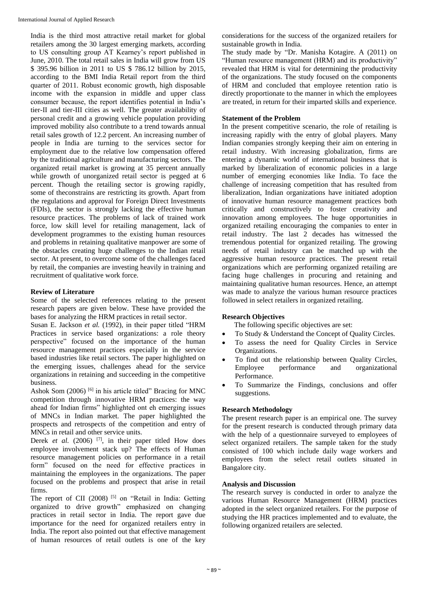India is the third most attractive retail market for global retailers among the 30 largest emerging markets, according to US consulting group AT Kearney's report published in June, 2010. The total retail sales in India will grow from US \$ 395.96 billion in 2011 to US \$ 786.12 billion by 2015, according to the BMI India Retail report from the third quarter of 2011. Robust economic growth, high disposable income with the expansion in middle and upper class consumer because, the report identifies potential in India's tier-II and tier-III cities as well. The greater availability of personal credit and a growing vehicle population providing improved mobility also contribute to a trend towards annual retail sales growth of 12.2 percent. An increasing number of people in India are turning to the services sector for employment due to the relative low compensation offered by the traditional agriculture and manufacturing sectors. The organized retail market is growing at 35 percent annually while growth of unorganized retail sector is pegged at 6 percent. Though the retailing sector is growing rapidly, some of theconstrains are restricting its growth. Apart from the regulations and approval for Foreign Direct Investments (FDIs), the sector is strongly lacking the effective human resource practices. The problems of lack of trained work force, low skill level for retailing management, lack of development programmes to the existing human resources and problems in retaining qualitative manpower are some of the obstacles creating huge challenges to the Indian retail sector. At present, to overcome some of the challenges faced by retail, the companies are investing heavily in training and recruitment of qualitative work force.

### **Review of Literature**

Some of the selected references relating to the present research papers are given below. These have provided the bases for analyzing the HRM practices in retail sector.

Susan E. Jackson *et al.* (1992), in their paper titled "HRM Practices in service based organizations: a role theory perspective" focused on the importance of the human resource management practices especially in the service based industries like retail sectors. The paper highlighted on the emerging issues, challenges ahead for the service organizations in retaining and succeeding in the competitive business.

Ashok Som  $(2006)$  [6] in his article titled" Bracing for MNC competition through innovative HRM practices: the way ahead for Indian firms" highlighted ont eh emerging issues of MNCs in Indian market. The paper highlighted the prospects and retrospects of the competition and entry of MNCs in retail and other service units.

Derek *et al.* (2006)<sup>[7]</sup>, in their paper titled How does employee involvement stack up? The effects of Human resource management policies on performance in a retail form" focused on the need for effective practices in maintaining the employees in the organizations. The paper focused on the problems and prospect that arise in retail firms.

The report of CII (2008) <sup>[5]</sup> on "Retail in India: Getting organized to drive growth" emphasized on changing practices in retail sector in India. The report gave due importance for the need for organized retailers entry in India. The report also pointed out that effective management of human resources of retail outlets is one of the key considerations for the success of the organized retailers for sustainable growth in India.

The study made by "Dr. Manisha Kotagire. A (2011) on "Human resource management (HRM) and its productivity" revealed that HRM is vital for determining the productivity of the organizations. The study focused on the components of HRM and concluded that employee retention ratio is directly proportionate to the manner in which the employees are treated, in return for their imparted skills and experience.

## **Statement of the Problem**

In the present competitive scenario, the role of retailing is increasing rapidly with the entry of global players. Many Indian companies strongly keeping their aim on entering in retail industry. With increasing globalization, firms are entering a dynamic world of international business that is marked by liberalization of economic policies in a large number of emerging economies like India. To face the challenge of increasing competition that has resulted from liberalization, Indian organizations have initiated adoption of innovative human resource management practices both critically and constructively to foster creativity and innovation among employees. The huge opportunities in organized retailing encouraging the companies to enter in retail industry. The last 2 decades has witnessed the tremendous potential for organized retailing. The growing needs of retail industry can be matched up with the aggressive human resource practices. The present retail organizations which are performing organized retailing are facing huge challenges in procuring and retaining and maintaining qualitative human resources. Hence, an attempt was made to analyze the various human resource practices followed in select retailers in organized retailing.

## **Research Objectives**

The following specific objectives are set:

- To Study & Understand the Concept of Quality Circles.
- To assess the need for Quality Circles in Service Organizations.
- To find out the relationship between Quality Circles, Employee performance and organizational Performance.
- To Summarize the Findings, conclusions and offer suggestions.

#### **Research Methodology**

The present research paper is an empirical one. The survey for the present research is conducted through primary data with the help of a questionnaire surveyed to employees of select organized retailers. The sample taken for the study consisted of 100 which include daily wage workers and employees from the select retail outlets situated in Bangalore city.

#### **Analysis and Discussion**

The research survey is conducted in order to analyze the various Human Resource Management (HRM) practices adopted in the select organized retailers. For the purpose of studying the HR practices implemented and to evaluate, the following organized retailers are selected.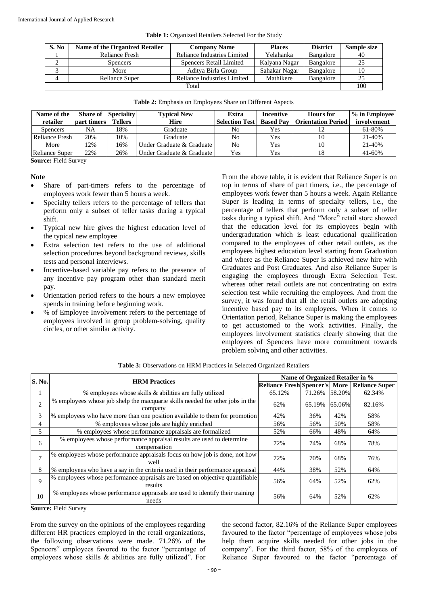|  |  | Table 1: Organized Retailers Selected For the Study |  |  |  |  |
|--|--|-----------------------------------------------------|--|--|--|--|
|--|--|-----------------------------------------------------|--|--|--|--|

| S. No | Name of the Organized Retailer | <b>Company Name</b>            | <b>Places</b> | <b>District</b> | Sample size |  |
|-------|--------------------------------|--------------------------------|---------------|-----------------|-------------|--|
|       | <b>Reliance Fresh</b>          | Reliance Industries Limited    | Yelahanka     | Bangalore       | 40          |  |
| ∠     | <b>Spencers</b>                | <b>Spencers Retail Limited</b> | Kalyana Nagar | Bangalore       | 25          |  |
|       | More                           | Aditva Birla Group             | Sahakar Nagar | Bangalore       | 10          |  |
|       | Reliance Super                 | Reliance Industries Limited    | Mathikere     | Bangalore       | 25          |  |
| Total |                                |                                |               |                 |             |  |

| Table 2: Emphasis on Employees Share on Different Aspects |  |  |
|-----------------------------------------------------------|--|--|
|-----------------------------------------------------------|--|--|

| Name of the<br>retailer | <b>Share of</b><br>part timers | <b>Speciality</b><br>Tellers | <b>Typical New</b><br>Hire | Extra<br><b>Selection Test</b> | <b>Incentive</b><br><b>Based Pav</b> | <b>Hours</b> for<br><b>Orientation Period</b> | % in Employee<br>involvement |
|-------------------------|--------------------------------|------------------------------|----------------------------|--------------------------------|--------------------------------------|-----------------------------------------------|------------------------------|
| <b>Spencers</b>         | NA                             | 18%                          | Graduate                   | No                             | Yes                                  |                                               | 61-80%                       |
| Reliance Fresh          | 20%                            | 10%                          | Graduate                   | No                             | Yes                                  | 10                                            | 21-40%                       |
| More                    | 2%                             | 16%                          | Under Graduate & Graduate  | No                             | Yes                                  | 10                                            | 21-40%                       |
| Reliance Super          | 22%                            | 26%                          | Jnder Graduate & Graduate  | Yes                            | Yes                                  | 18                                            | 41-60%                       |

**Source:** Field Survey

#### **Note**

- Share of part-timers refers to the percentage of employees work fewer than 5 hours a week.
- Specialty tellers refers to the percentage of tellers that perform only a subset of teller tasks during a typical shift.
- Typical new hire gives the highest education level of the typical new employee
- Extra selection test refers to the use of additional selection procedures beyond background reviews, skills tests and personal interviews.
- Incentive-based variable pay refers to the presence of any incentive pay program other than standard merit pay.
- Orientation period refers to the hours a new employee spends in training before beginning work.
- % of Employee Involvement refers to the percentage of employees involved in group problem-solving, quality circles, or other similar activity.

From the above table, it is evident that Reliance Super is on top in terms of share of part timers, i.e., the percentage of employees work fewer than 5 hours a week. Again Reliance Super is leading in terms of specialty tellers, i.e., the percentage of tellers that perform only a subset of teller tasks during a typical shift. And "More" retail store showed that the education level for its employees begin with undergradutation which is least educational qualification compared to the employees of other retail outlets, as the employees highest education level starting from Graduation and where as the Reliance Super is achieved new hire with Graduates and Post Graduates. And also Reliance Super is engaging the employees through Extra Selection Test. whereas other retail outlets are not concentrating on extra selection test while recruiting the employees. And from the survey, it was found that all the retail outlets are adopting incentive based pay to its employees. When it comes to Orientation period, Reliance Super is making the employees to get accustomed to the work activities. Finally, the employees involvement statistics clearly showing that the employees of Spencers have more commitment towards problem solving and other activities.

| S. No.         | <b>HRM</b> Practices                                                                     | Name of Organized Retailer in % |        |        |                                                |  |  |
|----------------|------------------------------------------------------------------------------------------|---------------------------------|--------|--------|------------------------------------------------|--|--|
|                |                                                                                          |                                 |        |        | Reliance Fresh Spencer's More   Reliance Super |  |  |
|                | % employees whose skills & abilities are fully utilized                                  | 65.12%                          | 71.26% | 58.20% | 62.34%                                         |  |  |
| $\overline{2}$ | % employees whose job shelp the macquarie skills needed for other jobs in the<br>company | 62%                             | 65.19% | 65.06% | 82.16%                                         |  |  |
| 3              | % employees who have more than one position available to them for promotion              | 42%                             | 36%    | 42%    | 58%                                            |  |  |
| 4              | % employees whose jobs are highly enriched                                               | 56%                             | 56%    | 50%    | 58%                                            |  |  |
| 5              | % employees whose performance appraisals are formalized                                  | 52%                             | 66%    | 48%    | 64%                                            |  |  |
| 6              | % employees whose performance appraisal results are used to determine<br>compensation    | 72%                             | 74%    | 68%    | 78%                                            |  |  |
|                | % employees whose performance appraisals focus on how job is done, not how<br>well       | 72%                             | 70%    | 68%    | 76%                                            |  |  |
| 8              | % employees who have a say in the criteria used in their performance appraisal           | 44%                             | 38%    | 52%    | 64%                                            |  |  |
| 9              | % employees whose performance appraisals are based on objective quantifiable<br>results  | 56%                             | 64%    | 52%    | 62%                                            |  |  |
| 10             | % employees whose performance appraisals are used to identify their training<br>needs    | 56%                             | 64%    | 52%    | 62%                                            |  |  |

**Table 3:** Observations on HRM Practices in Selected Organized Retailers

**Source:** Field Survey

From the survey on the opinions of the employees regarding different HR practices employed in the retail organizations, the following observations were made. 71.26% of the Spencers" employees favored to the factor "percentage of employees whose skills & abilities are fully utilized". For

the second factor, 82.16% of the Reliance Super employees favoured to the factor "percentage of employees whose jobs help them acquire skills needed for other jobs in the company". For the third factor, 58% of the employees of Reliance Super favoured to the factor "percentage of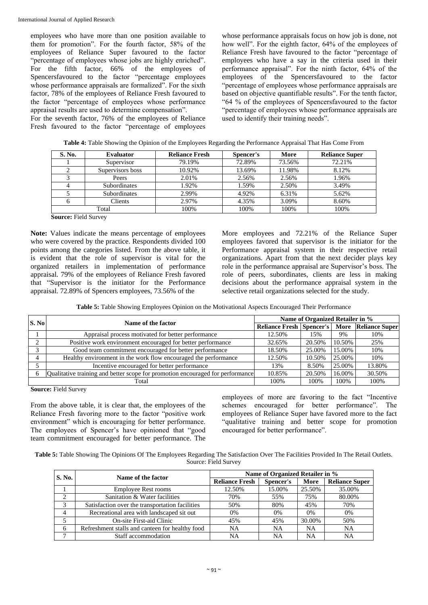employees who have more than one position available to them for promotion". For the fourth factor, 58% of the employees of Reliance Super favoured to the factor "percentage of employees whose jobs are highly enriched". For the fifth factor, 66% of the employees of Spencersfavoured to the factor "percentage employees whose performance appraisals are formalized". For the sixth factor, 78% of the employees of Reliance Fresh favoured to the factor "percentage of employees whose performance appraisal results are used to determine compensation".

For the seventh factor, 76% of the employees of Reliance Fresh favoured to the factor "percentage of employees

whose performance appraisals focus on how job is done, not how well". For the eighth factor, 64% of the employees of Reliance Fresh have favoured to the factor "percentage of employees who have a say in the criteria used in their performance appraisal". For the ninth factor, 64% of the employees of the Spencersfavoured to the factor "percentage of employees whose performance appraisals are based on objective quantifiable results". For the tenth factor, "64 % of the employees of Spencersfavoured to the factor "percentage of employees whose performance appraisals are used to identify their training needs".

| S. No. | <b>Evaluator</b>    | <b>Reliance Fresh</b> | Spencer's | More   | <b>Reliance Super</b> |
|--------|---------------------|-----------------------|-----------|--------|-----------------------|
|        | Supervisor          | 79.19%                | 72.89%    | 73.56% | 72.21%                |
|        | Supervisors boss    | 10.92%                | 13.69%    | 11.98% | 8.12%                 |
|        | Peers               | 2.01%                 | 2.56%     | 2.56%  | 1.96%                 |
|        | <b>Subordinates</b> | 1.92%                 | 1.59%     | 2.50%  | 3.49%                 |
|        | <b>Subordinates</b> | 2.99%                 | 4.92%     | 6.31%  | 5.62%                 |
|        | Clients             | 2.97%                 | 4.35%     | 3.09%  | 8.60%                 |
| Total  |                     | 100%                  | 100%      | 100%   | 100%                  |

|  |  | Table 4: Table Showing the Opinion of the Employees Regarding the Performance Appraisal That Has Come From |  |
|--|--|------------------------------------------------------------------------------------------------------------|--|
|  |  |                                                                                                            |  |
|  |  |                                                                                                            |  |
|  |  |                                                                                                            |  |

**Source:** Field Survey

**Note:** Values indicate the means percentage of employees who were covered by the practice. Respondents divided 100 points among the categories listed. From the above table, it is evident that the role of supervisor is vital for the organized retailers in implementation of performance appraisal. 79% of the employees of Reliance Fresh favored that "Supervisor is the initiator for the Performance appraisal. 72.89% of Spencers employees, 73.56% of the

More employees and 72.21% of the Reliance Super employees favored that supervisor is the initiator for the Performance appraisal system in their respective retail organizations. Apart from that the next decider plays key role in the performance appraisal are Supervisor's boss. The role of peers, subordinates, clients are less in making decisions about the performance appraisal system in the selective retail organizations selected for the study.

| S. No | Name of the factor                                                             | Name of Organized Retailer in %                             |        |        |        |  |  |
|-------|--------------------------------------------------------------------------------|-------------------------------------------------------------|--------|--------|--------|--|--|
|       |                                                                                | <b>Reliance Fresh   Spencer's   More   Reliance Super  </b> |        |        |        |  |  |
|       | Appraisal process motivated for better performance                             | 12.50%                                                      | 15%    | 9%     | 10%    |  |  |
|       | Positive work environment encouraged for better performance                    | 32.65%                                                      | 20.50% | 10.50% | 25%    |  |  |
|       | Good team commitment encouraged for better performance                         | 18.50%                                                      | 25.00% | 15.00% | 10%    |  |  |
|       | Healthy environment in the work flow encouraged the performance                | 12.50%                                                      | 10.50% | 25.00% | 10%    |  |  |
|       | Incentive encouraged for better performance                                    | 13%                                                         | 8.50%  | 25.00% | 13.80% |  |  |
|       | Qualitative training and better scope for promotion encouraged for performance | 10.85%                                                      | 20.50% | 16.00% | 30.50% |  |  |
|       | Total                                                                          | 100%                                                        | 100%   | 100%   | 100%   |  |  |

**Source:** Field Survey

From the above table, it is clear that, the employees of the Reliance Fresh favoring more to the factor "positive work environment" which is encouraging for better performance. The employees of Spencer's have opinioned that "good team commitment encouraged for better performance. The

employees of more are favoring to the fact "Incentive schemes encouraged for better performance". The employees of Reliance Super have favored more to the fact "qualitative training and better scope for promotion encouraged for better performance".

|  | Table 5: Table Showing The Opinions Of The Employees Regarding The Satisfaction Over The Facilities Provided In The Retail Outlets. |                      |  |  |  |
|--|-------------------------------------------------------------------------------------------------------------------------------------|----------------------|--|--|--|
|  |                                                                                                                                     | Source: Field Survey |  |  |  |

| S. No.        | Name of the factor                              | Name of Organized Retailer in % |           |        |                       |  |  |
|---------------|-------------------------------------------------|---------------------------------|-----------|--------|-----------------------|--|--|
|               |                                                 | <b>Reliance Fresh</b>           | Spencer's | More   | <b>Reliance Super</b> |  |  |
|               | <b>Employee Rest rooms</b>                      | 12.50%                          | 15.00%    | 25.50% | 35.00%                |  |  |
| ∍             | Sanitation & Water facilities                   | 70%                             | 55%       | 75%    | 80.00%                |  |  |
| 3             | Satisfaction over the transportation facilities | 50%                             | 80%       | 45%    | 70%                   |  |  |
| 4             | Recreational area with landscaped sit out       | 0%                              | 0%        | $0\%$  | 0%                    |  |  |
|               | On-site First-aid Clinic                        | 45%                             | 45%       | 30.00% | 50%                   |  |  |
| 6             | Refreshment stalls and canteen for healthy food | <b>NA</b>                       | <b>NA</b> | NA     | <b>NA</b>             |  |  |
| $\mathcal{I}$ | Staff accommodation                             | NA                              | NA        | NA     | NA                    |  |  |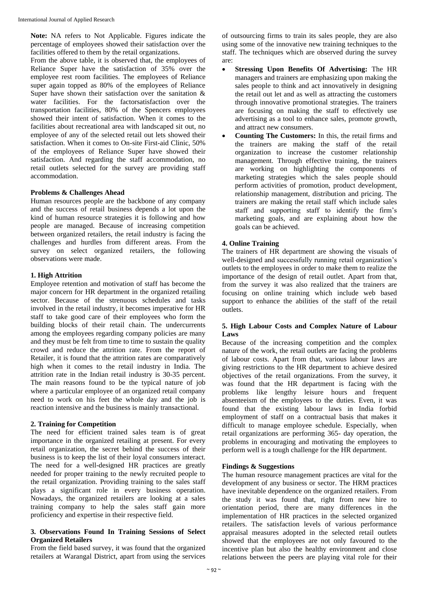**Note:** NA refers to Not Applicable. Figures indicate the percentage of employees showed their satisfaction over the facilities offered to them by the retail organizations.

From the above table, it is observed that, the employees of Reliance Super have the satisfaction of 35% over the employee rest room facilities. The employees of Reliance super again topped as 80% of the employees of Reliance Super have shown their satisfaction over the sanitation & water facilities. For the factorsatisfaction over the transportation facilities, 80% of the Spencers employees showed their intent of satisfaction. When it comes to the facilities about recreational area with landscaped sit out, no employee of any of the selected retail out lets showed their satisfaction. When it comes to On-site First-aid Clinic, 50% of the employees of Reliance Super have showed their satisfaction. And regarding the staff accommodation, no retail outlets selected for the survey are providing staff accommodation.

#### **Problems & Challenges Ahead**

Human resources people are the backbone of any company and the success of retail business depends a lot upon the kind of human resource strategies it is following and how people are managed. Because of increasing competition between organized retailers, the retail industry is facing the challenges and hurdles from different areas. From the survey on select organized retailers, the following observations were made.

#### **1. High Attrition**

Employee retention and motivation of staff has become the major concern for HR department in the organized retailing sector. Because of the strenuous schedules and tasks involved in the retail industry, it becomes imperative for HR staff to take good care of their employees who form the building blocks of their retail chain. The undercurrents among the employees regarding company policies are many and they must be felt from time to time to sustain the quality crowd and reduce the attrition rate. From the report of Retailer, it is found that the attrition rates are comparatively high when it comes to the retail industry in India. The attrition rate in the Indian retail industry is 30-35 percent. The main reasons found to be the typical nature of job where a particular employee of an organized retail company need to work on his feet the whole day and the job is reaction intensive and the business is mainly transactional.

#### **2. Training for Competition**

The need for efficient trained sales team is of great importance in the organized retailing at present. For every retail organization, the secret behind the success of their business is to keep the list of their loyal consumers interact. The need for a well-designed HR practices are greatly needed for proper training to the newly recruited people to the retail organization. Providing training to the sales staff plays a significant role in every business operation. Nowadays, the organized retailers are looking at a sales training company to help the sales staff gain more proficiency and expertise in their respective field.

#### **3. Observations Found In Training Sessions of Select Organized Retailers**

From the field based survey, it was found that the organized retailers at Warangal District, apart from using the services

of outsourcing firms to train its sales people, they are also using some of the innovative new training techniques to the staff. The techniques which are observed during the survey are:

- **Stressing Upon Benefits Of Advertising:** The HR managers and trainers are emphasizing upon making the sales people to think and act innovatively in designing the retail out let and as well as attracting the customers through innovative promotional strategies. The trainers are focusing on making the staff to effectively use advertising as a tool to enhance sales, promote growth, and attract new consumers.
- **Counting The Customers:** In this, the retail firms and the trainers are making the staff of the retail organization to increase the customer relationship management. Through effective training, the trainers are working on highlighting the components of marketing strategies which the sales people should perform activities of promotion, product development, relationship management, distribution and pricing. The trainers are making the retail staff which include sales staff and supporting staff to identify the firm's marketing goals, and are explaining about how the goals can be achieved.

#### **4. Online Training**

The trainers of HR department are showing the visuals of well-designed and successfully running retail organization's outlets to the employees in order to make them to realize the importance of the design of retail outlet. Apart from that, from the survey it was also realized that the trainers are focusing on online training which include web based support to enhance the abilities of the staff of the retail outlets.

#### **5. High Labour Costs and Complex Nature of Labour Laws**

Because of the increasing competition and the complex nature of the work, the retail outlets are facing the problems of labour costs. Apart from that, various labour laws are giving restrictions to the HR department to achieve desired objectives of the retail organizations. From the survey, it was found that the HR department is facing with the problems like lengthy leisure hours and frequent absenteeism of the employees to the duties. Even, it was found that the existing labour laws in India forbid employment of staff on a contractual basis that makes it difficult to manage employee schedule. Especially, when retail organizations are performing 365- day operation, the problems in encouraging and motivating the employees to perform well is a tough challenge for the HR department.

#### **Findings & Suggestions**

The human resource management practices are vital for the development of any business or sector. The HRM practices have inevitable dependence on the organized retailers. From the study it was found that, right from new hire to orientation period, there are many differences in the implementation of HR practices in the selected organized retailers. The satisfaction levels of various performance appraisal measures adopted in the selected retail outlets showed that the employees are not only favoured to the incentive plan but also the healthy environment and close relations between the peers are playing vital role for their